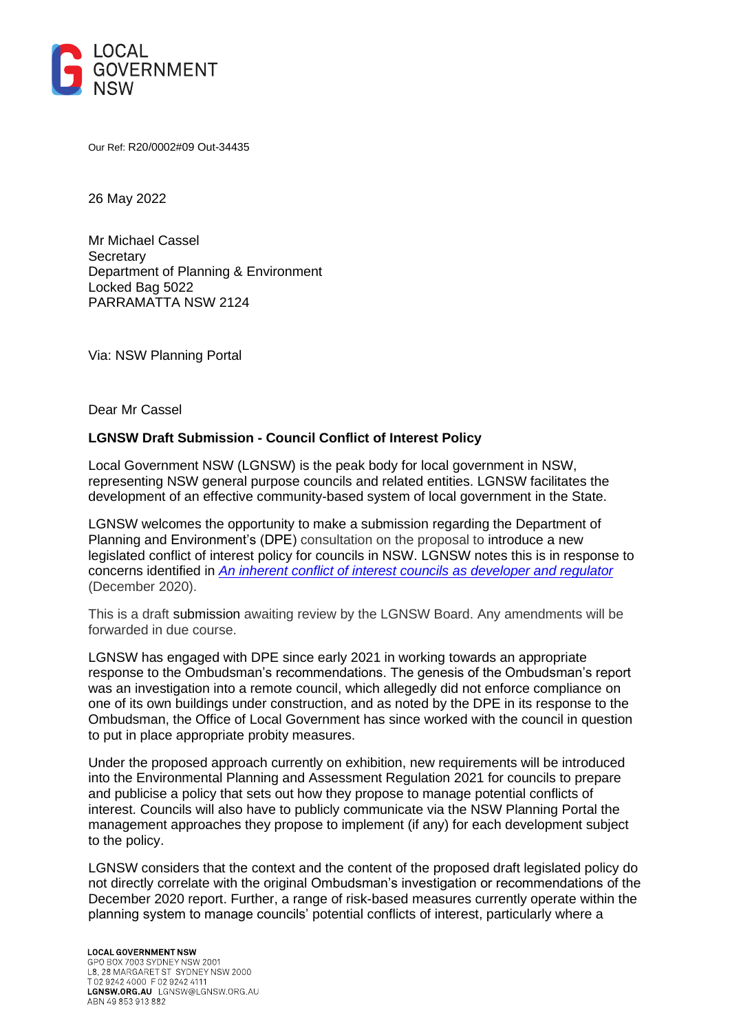

Our Ref: R20/0002#09 Out-34435

26 May 2022

Mr Michael Cassel **Secretary** Department of Planning & Environment Locked Bag 5022 PARRAMATTA NSW 2124

Via: NSW Planning Portal

Dear Mr Cassel

## **LGNSW Draft Submission - Council Conflict of Interest Policy**

Local Government NSW (LGNSW) is the peak body for local government in NSW, representing NSW general purpose councils and related entities. LGNSW facilitates the development of an effective community-based system of local government in the State.

LGNSW welcomes the opportunity to make a submission regarding the Department of Planning and Environment's (DPE) consultation on the proposal to introduce a new legislated conflict of interest policy for councils in NSW. LGNSW notes this is in response to concerns identified in *[An inherent conflict of interest councils as developer and regulator](https://www.ombo.nsw.gov.au/__data/assets/pdf_file/0009/134487/An-inherent-conflict-of-interest_councils-as-developer-and-regulator_web.pdf)* (December 2020).

This is a draft submission awaiting review by the LGNSW Board. Any amendments will be forwarded in due course.

LGNSW has engaged with DPE since early 2021 in working towards an appropriate response to the Ombudsman's recommendations. The genesis of the Ombudsman's report was an investigation into a remote council, which allegedly did not enforce compliance on one of its own buildings under construction, and as noted by the DPE in its response to the Ombudsman, the Office of Local Government has since worked with the council in question to put in place appropriate probity measures.

Under the proposed approach currently on exhibition, new requirements will be introduced into the Environmental Planning and Assessment Regulation 2021 for councils to prepare and publicise a policy that sets out how they propose to manage potential conflicts of interest. Councils will also have to publicly communicate via the NSW Planning Portal the management approaches they propose to implement (if any) for each development subject to the policy.

LGNSW considers that the context and the content of the proposed draft legislated policy do not directly correlate with the original Ombudsman's investigation or recommendations of the December 2020 report. Further, a range of risk-based measures currently operate within the planning system to manage councils' potential conflicts of interest, particularly where a